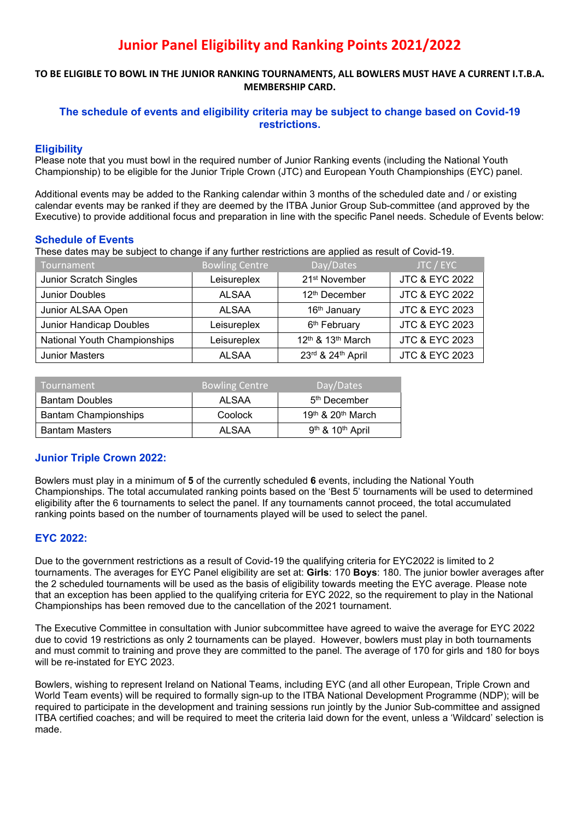# **Junior Panel Eligibility and Ranking Points 2021/2022**

#### **TO BE ELIGIBLE TO BOWL IN THE JUNIOR RANKING TOURNAMENTS, ALL BOWLERS MUST HAVE A CURRENT I.T.B.A. MEMBERSHIP CARD.**

# **The schedule of events and eligibility criteria may be subject to change based on Covid-19 restrictions.**

# **Eligibility**

Please note that you must bowl in the required number of Junior Ranking events (including the National Youth Championship) to be eligible for the Junior Triple Crown (JTC) and European Youth Championships (EYC) panel.

Additional events may be added to the Ranking calendar within 3 months of the scheduled date and / or existing calendar events may be ranked if they are deemed by the ITBA Junior Group Sub-committee (and approved by the Executive) to provide additional focus and preparation in line with the specific Panel needs. Schedule of Events below:

### **Schedule of Events**

These dates may be subject to change if any further restrictions are applied as result of Covid-19.

| Tournament                    | <b>Bowling Centre</b> | Day/Dates                                 | JTC / EYC                 |
|-------------------------------|-----------------------|-------------------------------------------|---------------------------|
| <b>Junior Scratch Singles</b> | Leisureplex           | 21 <sup>st</sup> November                 | <b>JTC &amp; EYC 2022</b> |
| <b>Junior Doubles</b>         | <b>ALSAA</b>          | 12 <sup>th</sup> December                 | <b>JTC &amp; EYC 2022</b> |
| Junior ALSAA Open             | <b>ALSAA</b>          | 16th January                              | <b>JTC &amp; EYC 2023</b> |
| Junior Handicap Doubles       | Leisureplex           | 6 <sup>th</sup> February                  | <b>JTC &amp; EYC 2023</b> |
| National Youth Championships  | Leisureplex           | 12 <sup>th</sup> & 13 <sup>th</sup> March | <b>JTC &amp; EYC 2023</b> |
| <b>Junior Masters</b>         | <b>ALSAA</b>          | 23rd & 24th April                         | <b>JTC &amp; EYC 2023</b> |

| Tournament                  | <b>Bowling Centre</b> | Day/Dates                                |
|-----------------------------|-----------------------|------------------------------------------|
| <b>Bantam Doubles</b>       | AI SAA                | 5 <sup>th</sup> December                 |
| <b>Bantam Championships</b> | Coolock               | $19th$ & $20th$ March                    |
| <b>Bantam Masters</b>       | AI SAA                | 9 <sup>th</sup> & 10 <sup>th</sup> April |

# **Junior Triple Crown 2022:**

Bowlers must play in a minimum of **5** of the currently scheduled **6** events, including the National Youth Championships. The total accumulated ranking points based on the 'Best 5' tournaments will be used to determined eligibility after the 6 tournaments to select the panel. If any tournaments cannot proceed, the total accumulated ranking points based on the number of tournaments played will be used to select the panel.

# **EYC 2022:**

Due to the government restrictions as a result of Covid-19 the qualifying criteria for EYC2022 is limited to 2 tournaments. The averages for EYC Panel eligibility are set at: **Girls**: 170 **Boys**: 180. The junior bowler averages after the 2 scheduled tournaments will be used as the basis of eligibility towards meeting the EYC average. Please note that an exception has been applied to the qualifying criteria for EYC 2022, so the requirement to play in the National Championships has been removed due to the cancellation of the 2021 tournament.

The Executive Committee in consultation with Junior subcommittee have agreed to waive the average for EYC 2022 due to covid 19 restrictions as only 2 tournaments can be played. However, bowlers must play in both tournaments and must commit to training and prove they are committed to the panel. The average of 170 for girls and 180 for boys will be re-instated for EYC 2023.

Bowlers, wishing to represent Ireland on National Teams, including EYC (and all other European, Triple Crown and World Team events) will be required to formally sign-up to the ITBA National Development Programme (NDP); will be required to participate in the development and training sessions run jointly by the Junior Sub-committee and assigned ITBA certified coaches; and will be required to meet the criteria laid down for the event, unless a 'Wildcard' selection is made.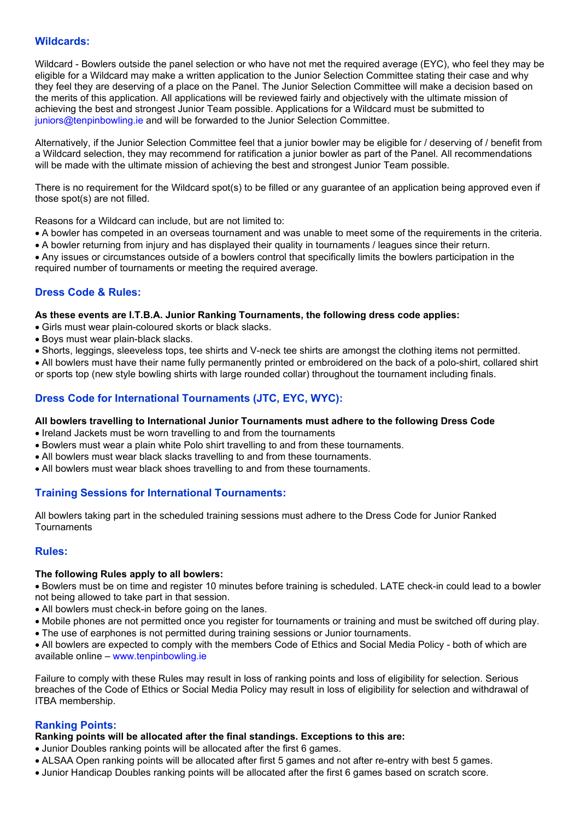#### **Wildcards:**

Wildcard - Bowlers outside the panel selection or who have not met the required average (EYC), who feel they may be eligible for a Wildcard may make a written application to the Junior Selection Committee stating their case and why they feel they are deserving of a place on the Panel. The Junior Selection Committee will make a decision based on the merits of this application. All applications will be reviewed fairly and objectively with the ultimate mission of achieving the best and strongest Junior Team possible. Applications for a Wildcard must be submitted to juniors@tenpinbowling.ie and will be forwarded to the Junior Selection Committee.

Alternatively, if the Junior Selection Committee feel that a junior bowler may be eligible for / deserving of / benefit from a Wildcard selection, they may recommend for ratification a junior bowler as part of the Panel. All recommendations will be made with the ultimate mission of achieving the best and strongest Junior Team possible.

There is no requirement for the Wildcard spot(s) to be filled or any guarantee of an application being approved even if those spot(s) are not filled.

Reasons for a Wildcard can include, but are not limited to:

- A bowler has competed in an overseas tournament and was unable to meet some of the requirements in the criteria.
- A bowler returning from injury and has displayed their quality in tournaments / leagues since their return.

Any issues or circumstances outside of a bowlers control that specifically limits the bowlers participation in the required number of tournaments or meeting the required average.

# **Dress Code & Rules:**

#### **As these events are I.T.B.A. Junior Ranking Tournaments, the following dress code applies:**

- Girls must wear plain-coloured skorts or black slacks.
- Boys must wear plain-black slacks.
- Shorts, leggings, sleeveless tops, tee shirts and V-neck tee shirts are amongst the clothing items not permitted.

All bowlers must have their name fully permanently printed or embroidered on the back of a polo-shirt, collared shirt or sports top (new style bowling shirts with large rounded collar) throughout the tournament including finals.

# **Dress Code for International Tournaments (JTC, EYC, WYC):**

#### **All bowlers travelling to International Junior Tournaments must adhere to the following Dress Code**

- Ireland Jackets must be worn travelling to and from the tournaments
- Bowlers must wear a plain white Polo shirt travelling to and from these tournaments.
- All bowlers must wear black slacks travelling to and from these tournaments.
- All bowlers must wear black shoes travelling to and from these tournaments.

#### **Training Sessions for International Tournaments:**

All bowlers taking part in the scheduled training sessions must adhere to the Dress Code for Junior Ranked **Tournaments** 

#### **Rules:**

#### **The following Rules apply to all bowlers:**

Bowlers must be on time and register 10 minutes before training is scheduled. LATE check-in could lead to a bowler not being allowed to take part in that session.

- All bowlers must check-in before going on the lanes.
- Mobile phones are not permitted once you register for tournaments or training and must be switched off during play.
- The use of earphones is not permitted during training sessions or Junior tournaments.

All bowlers are expected to comply with the members Code of Ethics and Social Media Policy - both of which are available online – www.tenpinbowling.ie

Failure to comply with these Rules may result in loss of ranking points and loss of eligibility for selection. Serious breaches of the Code of Ethics or Social Media Policy may result in loss of eligibility for selection and withdrawal of ITBA membership.

# **Ranking Points:**

#### **Ranking points will be allocated after the final standings. Exceptions to this are:**

- Junior Doubles ranking points will be allocated after the first 6 games.
- ALSAA Open ranking points will be allocated after first 5 games and not after re-entry with best 5 games.
- Junior Handicap Doubles ranking points will be allocated after the first 6 games based on scratch score.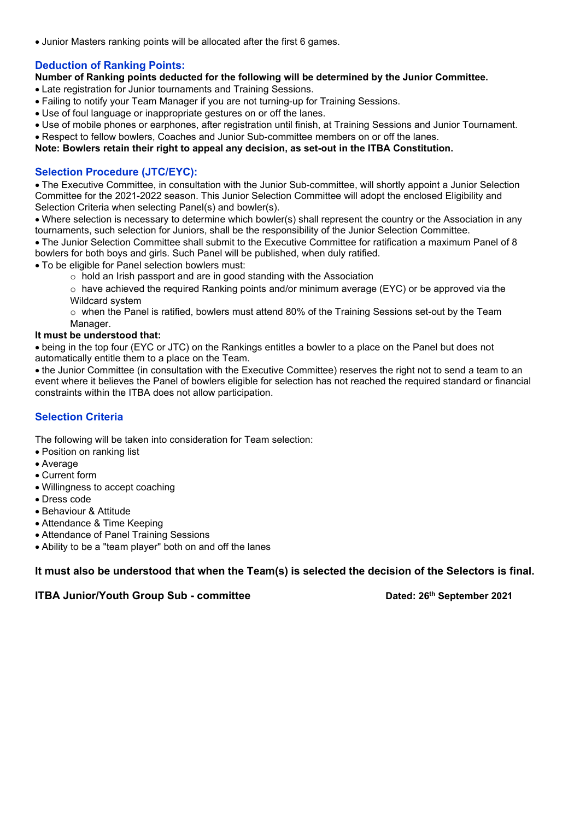• Junior Masters ranking points will be allocated after the first 6 games.

### **Deduction of Ranking Points:**

**Number of Ranking points deducted for the following will be determined by the Junior Committee.** 

Late registration for Junior tournaments and Training Sessions.

- Failing to notify your Team Manager if you are not turning-up for Training Sessions.
- Use of foul language or inappropriate gestures on or off the lanes.
- Use of mobile phones or earphones, after registration until finish, at Training Sessions and Junior Tournament.
- Respect to fellow bowlers, Coaches and Junior Sub-committee members on or off the lanes.

**Note: Bowlers retain their right to appeal any decision, as set-out in the ITBA Constitution.** 

### **Selection Procedure (JTC/EYC):**

The Executive Committee, in consultation with the Junior Sub-committee, will shortly appoint a Junior Selection Committee for the 2021-2022 season. This Junior Selection Committee will adopt the enclosed Eligibility and Selection Criteria when selecting Panel(s) and bowler(s).

Where selection is necessary to determine which bowler(s) shall represent the country or the Association in any tournaments, such selection for Juniors, shall be the responsibility of the Junior Selection Committee.

The Junior Selection Committee shall submit to the Executive Committee for ratification a maximum Panel of 8 bowlers for both boys and girls. Such Panel will be published, when duly ratified.

To be eligible for Panel selection bowlers must:

 $\circ$  hold an Irish passport and are in good standing with the Association

 $\circ$  have achieved the required Ranking points and/or minimum average (EYC) or be approved via the Wildcard system

 $\circ$  when the Panel is ratified, bowlers must attend 80% of the Training Sessions set-out by the Team Manager.

#### **It must be understood that:**

being in the top four (EYC or JTC) on the Rankings entitles a bowler to a place on the Panel but does not automatically entitle them to a place on the Team.

the Junior Committee (in consultation with the Executive Committee) reserves the right not to send a team to an event where it believes the Panel of bowlers eligible for selection has not reached the required standard or financial constraints within the ITBA does not allow participation.

# **Selection Criteria**

The following will be taken into consideration for Team selection:

- Position on ranking list
- Average
- Current form
- Willingness to accept coaching
- Dress code
- Behaviour & Attitude
- Attendance & Time Keeping
- Attendance of Panel Training Sessions
- Ability to be a "team player" both on and off the lanes

**It must also be understood that when the Team(s) is selected the decision of the Selectors is final.** 

**ITBA Junior/Youth Group Sub - committee <b>by Dated: 26<sup>th</sup>** September 2021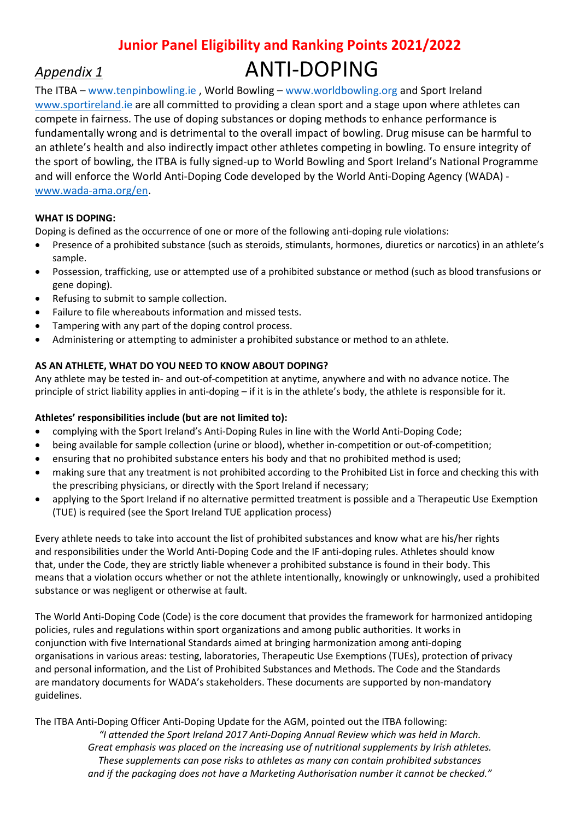# **Junior Panel Eligibility and Ranking Points 2021/2022**  *Appendix 1* ANTI-DOPING

The ITBA – www.tenpinbowling.ie , World Bowling – www.worldbowling.org and Sport Ireland www.sportireland.ie are all committed to providing a clean sport and a stage upon where athletes can compete in fairness. The use of doping substances or doping methods to enhance performance is fundamentally wrong and is detrimental to the overall impact of bowling. Drug misuse can be harmful to an athlete's health and also indirectly impact other athletes competing in bowling. To ensure integrity of the sport of bowling, the ITBA is fully signed-up to World Bowling and Sport Ireland's National Programme and will enforce the World Anti-Doping Code developed by the World Anti-Doping Agency (WADA) www.wada-ama.org/en.

# **WHAT IS DOPING:**

Doping is defined as the occurrence of one or more of the following anti-doping rule violations:

- Presence of a prohibited substance (such as steroids, stimulants, hormones, diuretics or narcotics) in an athlete's sample.
- Possession, trafficking, use or attempted use of a prohibited substance or method (such as blood transfusions or gene doping).
- Refusing to submit to sample collection.
- Failure to file whereabouts information and missed tests.
- Tampering with any part of the doping control process.
- Administering or attempting to administer a prohibited substance or method to an athlete.

# **AS AN ATHLETE, WHAT DO YOU NEED TO KNOW ABOUT DOPING?**

Any athlete may be tested in- and out-of-competition at anytime, anywhere and with no advance notice. The principle of strict liability applies in anti-doping – if it is in the athlete's body, the athlete is responsible for it.

# **Athletes' responsibilities include (but are not limited to):**

- complying with the Sport Ireland's Anti-Doping Rules in line with the World Anti-Doping Code;
- being available for sample collection (urine or blood), whether in-competition or out-of-competition;
- ensuring that no prohibited substance enters his body and that no prohibited method is used;
- making sure that any treatment is not prohibited according to the Prohibited List in force and checking this with the prescribing physicians, or directly with the Sport Ireland if necessary;
- applying to the Sport Ireland if no alternative permitted treatment is possible and a Therapeutic Use Exemption (TUE) is required (see the Sport Ireland TUE application process)

Every athlete needs to take into account the list of prohibited substances and know what are his/her rights and responsibilities under the World Anti-Doping Code and the IF anti-doping rules. Athletes should know that, under the Code, they are strictly liable whenever a prohibited substance is found in their body. This means that a violation occurs whether or not the athlete intentionally, knowingly or unknowingly, used a prohibited substance or was negligent or otherwise at fault.

The World Anti-Doping Code (Code) is the core document that provides the framework for harmonized antidoping policies, rules and regulations within sport organizations and among public authorities. It works in conjunction with five International Standards aimed at bringing harmonization among anti-doping organisations in various areas: testing, laboratories, Therapeutic Use Exemptions (TUEs), protection of privacy and personal information, and the List of Prohibited Substances and Methods. The Code and the Standards are mandatory documents for WADA's stakeholders. These documents are supported by non-mandatory guidelines.

The ITBA Anti-Doping Officer Anti-Doping Update for the AGM, pointed out the ITBA following:

*"I attended the Sport Ireland 2017 Anti-Doping Annual Review which was held in March. Great emphasis was placed on the increasing use of nutritional supplements by Irish athletes. These supplements can pose risks to athletes as many can contain prohibited substances and if the packaging does not have a Marketing Authorisation number it cannot be checked."*